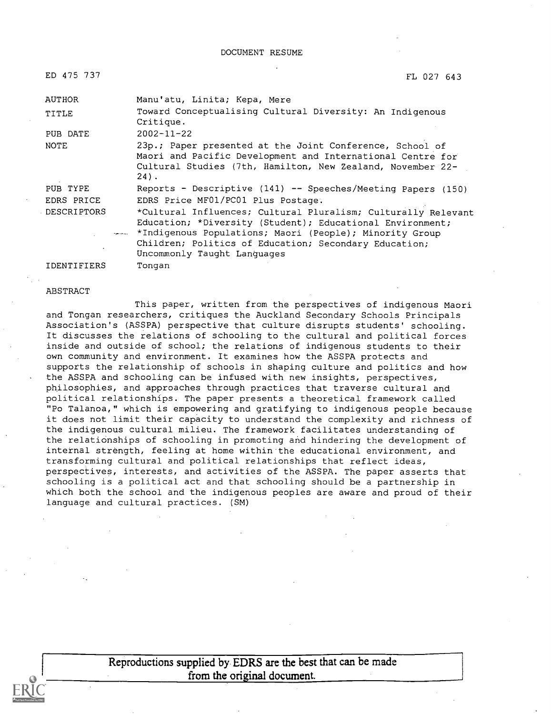| ED 475 737         | FL 027 643                                                                                                                                                                                                                                                                        |
|--------------------|-----------------------------------------------------------------------------------------------------------------------------------------------------------------------------------------------------------------------------------------------------------------------------------|
| <b>AUTHOR</b>      | Manu'atu, Linita; Kepa, Mere                                                                                                                                                                                                                                                      |
| TITLE              | Toward Conceptualising Cultural Diversity: An Indigenous<br>Critique.                                                                                                                                                                                                             |
| PUB DATE           | $2002 - 11 - 22$                                                                                                                                                                                                                                                                  |
| NOTE               | 23p.; Paper presented at the Joint Conference, School of<br>Maori and Pacific Development and International Centre for<br>Cultural Studies (7th, Hamilton, New Zealand, November 22-<br>$24$ .                                                                                    |
| PUB TYPE           | Reports - Descriptive (141) -- Speeches/Meeting Papers (150)                                                                                                                                                                                                                      |
| EDRS PRICE         | EDRS Price MF01/PC01 Plus Postage.                                                                                                                                                                                                                                                |
| <b>DESCRIPTORS</b> | *Cultural Influences; Cultural Pluralism; Culturally Relevant<br>Education; *Diversity (Student); Educational Environment;<br>*** *Indigenous Populations; Maori (People); Minority Group<br>Children; Politics of Education; Secondary Education;<br>Uncommonly Taught Languages |
|                    |                                                                                                                                                                                                                                                                                   |

IDENTIFIERS Tongan

#### ABSTRACT

This paper, written from the perspectives of indigenous Maori and Tongan researchers, critiques the Auckland Secondary Schools Principals Association's (ASSPA) perspective that culture disrupts students' schooling. It discusses the relations of schooling to the cultural and political forces inside and outside of school; the relations of indigenous students to their own community and environment. It examines how the ASSPA protects and supports the relationship of schools in shaping culture and politics and how the ASSPA and schooling can be infused with new insights, perspectives, philosophies, and approaches through practices that traverse cultural and political relationships. The paper presents a theoretical framework called "Po Talanoa," which is empowering and gratifying to indigenous people because it does not limit their capacity to understand the complexity and richness of the indigenous cultural milieu. The framework facilitates understanding of the relationships of schooling in promoting and hindering the development of internal strength, feeling at home within the educational environment, and transforming cultural and political relationships that reflect ideas, perspectives, interests, and activities of the ASSPA. The paper asserts that schooling is a political act and that schooling should be a partnership in which both the school and the indigenous peoples are aware and proud of their language and cultural practices. (SM)

> Reproductions supplied by EDRS are the best that can be made from the original document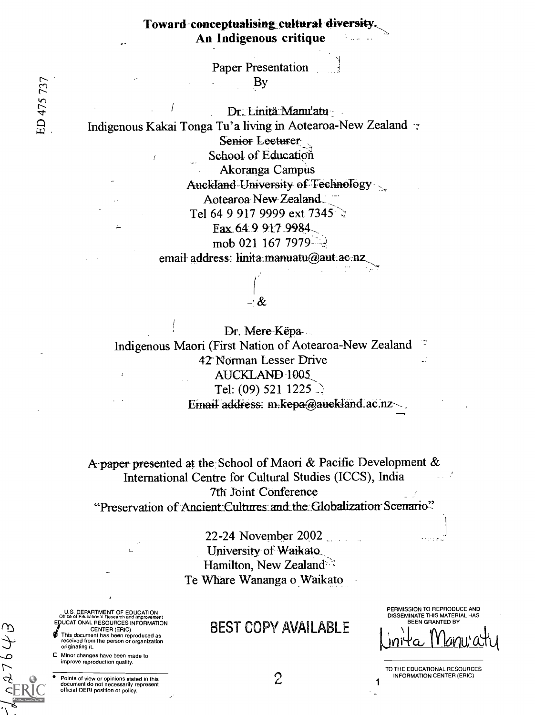Paper Presentation By

Dr. Linitä-Manu'atu Indigenous Kakai Tonga Tu'a living in Aotearoa-New Zealand Semor-Lecturer School of Education Akoranga Campus Auckland-University of Technology Aotearoa New Zealand Tel 64 9 917 9999 ext  $7345$ Fax 64.9 917.9984

mob 021 167 7979 $\frac{1}{2}$ 

email-address: linita manuatu@aut.ac-nz

\_' &

Dr. Mere-Këpa Indigenous Maori (First Nation of Aotearoa-New Zealand 42-Norman Lesser Drive AUCKLAND-1005 Tel: (09) 521 1225  $\therefore$ Email address: m.kepa@auckland.ac.nz-

A paper presented-at the: School of Maori & Pacific Development & International Centre for Cultural Studies (ICCS), India 7th Joint Conference "Preservation of Ancient Cultures and the Globalization Scenario"

> 22-24 November 2002 University of Waikato Hamilton, New Zealand Te Whare Wananga o Waikato

# BEST COPY AVAILABLE

PERMISSION TO REPRODUCE AND DISSEMINATE THIS MATERIAL HAS BEEN GRANTED BY <u>Inita II kinu'a</u>ty

TO THE EDUCATIONAL RESOURCES **INFORMATION CENTER (ERIC)** 

U.S. DEPARTMENT OF EDUCATION Office of Educational Research and Improvement EDUCATIONAL RESOURCES INFORMATION CENTER (ERIC)

- This document has been reproduced as received from the person or organization originating it.
- Minor changes have been made to improve reproduction quality.

Points of view or opinions stated in this document do not necessarily represent official OERI position or policy.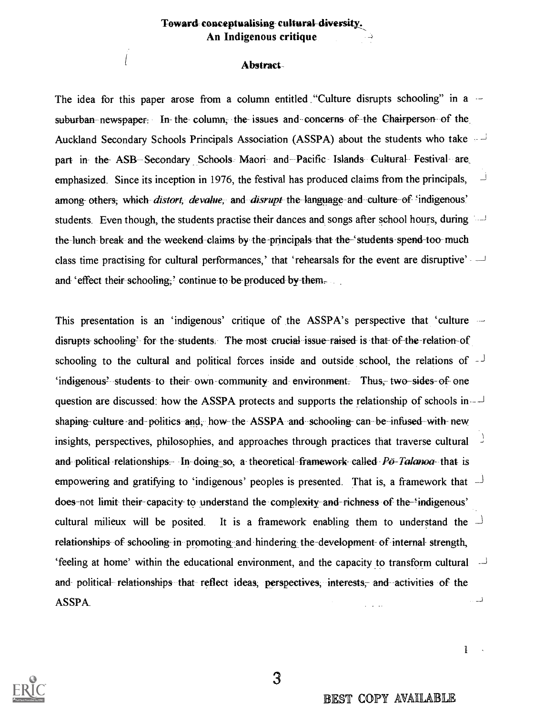#### Toward conceptualising cultural diversity., An Indigenous critique

#### Abstract..

The idea for this paper arose from a column entitled "Culture disrupts schooling" in a  $$ suburban newspaper: In- the column, the issues and concerns of the Chairperson of the Auckland Secondary Schools Principals Association (ASSPA) about the students who take  $\sim \frac{1}{2}$ part in the ASB Secondary Schools Maori and Pacific Islands Cultural Festival are emphasized. Since its inception in 1976, the festival has produced claims from the principals, among- others; which distort, devalue, and disrupt the language-and culture of 'indigenous' students. Even though, the students practise their dances and songs after school hours, during --J the lunch break- and the weekend claims by the-principals that the-` students spend-too-much class time practising for cultural performances,' that 'rehearsals for the event are disruptive'  $\rightarrow$ and 'effect their schooling,' continue to be produced by them,

This presentation is an 'indigenous' critique of the  $ASSPA's$  perspective that 'culture  $\sim$ disrupts schooling' for the-students. The most crucial issue-raised is that- of-the-relation-of schooling to the cultural and political forces inside and outside school, the relations of  $-$ `indigenous? students to their- own-community and environment. Thus, two-sides-of one question are discussed: how the ASSPA protects and supports the relationship of schools in  $$ shaping- culture and-politics and, how the ASSPA and schooling- can be-infused with-new insights, perspectives, philosophies, and approaches through practices that traverse cultural and political relationships. In doing so, a theoretical framework called  $P\ddot{\rho}$ -Takinoa- that is empowering and gratifying to 'indigenous' peoples is presented. That is, a framework that  $\overline{\phantom{a}}$ does-not limit-their-capacity- to understand the complexity-and-richness of the-'indigenous' cultural milieux will be posited. It is a framework enabling them to understand the  $\overline{\phantom{a}}$ relationships of schooling- in promoting and hindering the development- of internal- strength,  $\theta$  'feeling at home' within the educational environment, and the capacity to transform cultural  $\theta$ and political relationships that reflect ideas; perspectives, interests, and activities of the لمب ASSPA.



BEST COPY AVAILABLE

1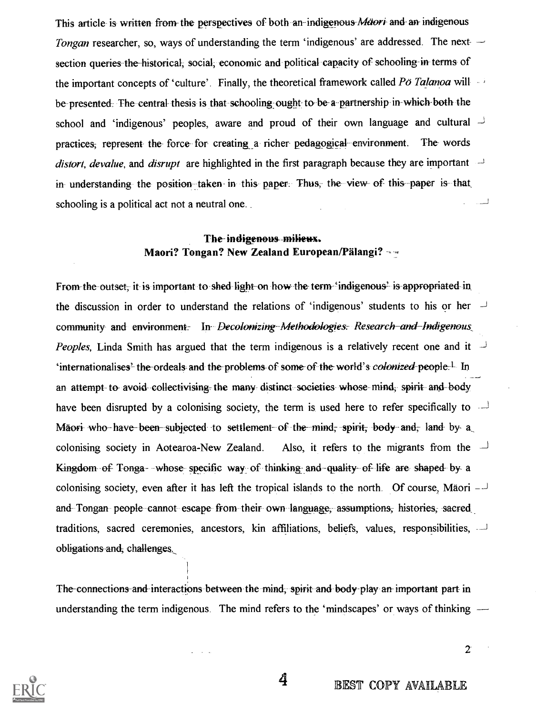This article is written from the perspectives of both an-indigenous *Maori* and an indigenous Tongan researcher, so, ways of understanding the term 'indigenous' are addressed. The nextsection queries the historical; social; economic and political capacity of schooling in terms of the important concepts of 'culture'. Finally, the theoretical framework called Po Talanoa will be-presented. The central-thesis is that schooling ought to be-a partnership in-which-both-the school and 'indigenous' peoples, aware and proud of their own language and cultural  $\overline{\phantom{a}}$ practices: represent the force for creating a richer-pedagogical environment. The words distort, devalue, and disrupt are highlighted in the first paragraph because they are important  $\rightarrow$ in understanding the position taken in this paper. Thus, the view of this paper is that السان schooling is a political act not a neutral one..

### The indigenous milieux. Maori? Tongan? New Zealand European/Pälangi?

From the outset, it is important to shed-light-on how the term 'indigenous' is appropriated in the discussion in order to understand the relations of 'indigenous' students to his or her  $\overrightarrow{v}$ community and environment. In Decolonizing Methodologies: Research and Indigenous *Peoples*, Linda Smith has argued that the term indigenous is a relatively recent one and it  $\overline{1}$ 'internationalises<sup>2</sup> the-ordeals and the-problems of some of the world's *colonized-people*<sup>1</sup>. In an attempt to avoid collectivising the many distinct societies whose mind, spirit and body have been disrupted by a colonising society, the term is used here to refer specifically to  $\overline{\phantom{a}}$ Maori who have been subjected to settlement of the mind, spirit, body and, land by a colonising society in Aotearoa-New Zealand. Also, it refers to the migrants from the  $\overrightarrow{I}$ Kingdom of Tonga- whose specific way of thinking: and- quality of life are- shaped- by a colonising society, even after it has left the tropical islands to the north. Of course, Mäori  $$ and Tongan people- cannot escape from their own language, assumptions, histories, sacred traditions, sacred ceremonies, ancestors, kin affiliations, beliefs, values, responsibilities, obligations and, challenges.\_

The connections and interactions between the mind; spirit and body-play an important part in understanding the term indigenous. The mind refers to the 'mindscapes' or ways of thinking —



4 BEST COPY AVAILABLE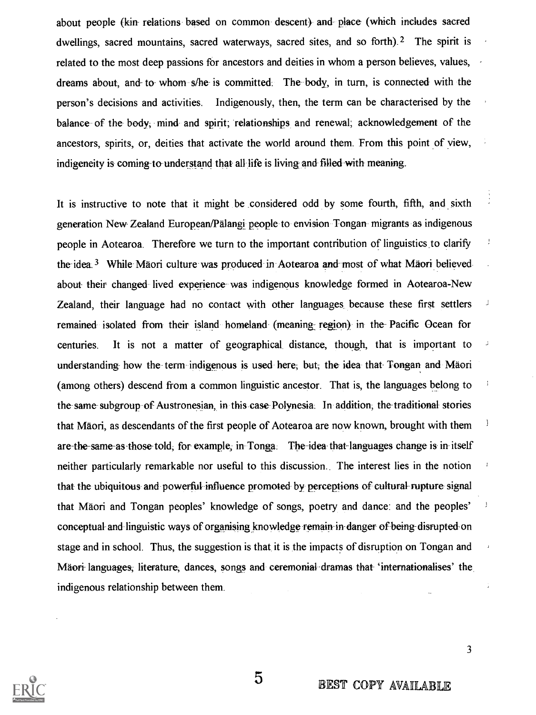about people (kin- relations based on common descent) and place (which includes sacred dwellings, sacred mountains, sacred waterways, sacred sites, and so forth).<sup>2</sup> The spirit is related to the most deep passions for ancestors and deities in whom a person believes, values, dreams about, and- to- whom s/he- is committed. The body, in turn, is connected with the person's decisions and activities. Indigenously, then, the term can be characterised by the balance of the body, mind- and spirit; relationships and renewal; acknowledgement of the ancestors, spirits, or, deities that activate the world around them. From this point of view, indigeneity is coming-to-understand that all life is living and filled with meaning.

It is instructive to note that it might be considered odd by some fourth, fifth, and sixth generation New Zealand European/Palangi people to envision Tongan migrants as indigenous people in Aotearoa. Therefore we turn to the important contribution of linguistics to clarify the idea.<sup>3</sup> While-Mäori culture-was produced in Aotearoa and-most of what Mäori believed about- their changed lived experience was indigenous knowledge formed in Aotearoa-New Zealand, their language had no contact with other languages because these first settlers remained isolated from their island homeland (meaning region) in the Pacific Ocean for centuries. It is not a matter of geographical distance, though, that is important to understanding- how the term indigenous is used here; but, the idea that Tongan and Mäori (among others) descend from a common linguistic ancestor. That is, the languages belong to the same subgroup of Austronesian, in this case-Polynesia. In addition; the traditional- stories that Mäori, as descendants of the first people of Aotearoa are now known, brought with them are-the-same-as-those-told, for-example, in Tonga. The idea that-languages change is in itself neither particularly remarkable nor useful to this discussion. The interest lies in the notion that- the ubiquitous and powerful influence promoted by perceptions of cultural-rupture signal that Maori and Tongan peoples' knowledge of songs, poetry and dance: and the peoples' conceptual and linguistic ways of organising knowledge remain in-danger of being-disrupted on stage and in school. Thus, the suggestion is that it is the impacts of disruption on Tongan and Mäori languages, literature, dances, songs and ceremonial dramas that 'internationalises' the indigenous relationship between them.

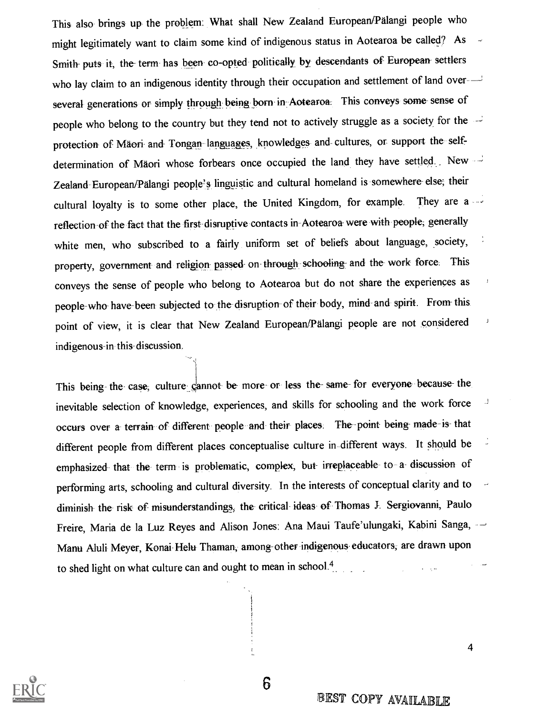This also brings up the problem: What shall New Zealand European/Palangi people who might legitimately want to claim some kind of indigenous status in Aotearoa be called? As Smith- puts it, the- term has been co-opted politically by descendants of European settlers who lay claim to an indigenous identity through their occupation and settlement of land over several generations or simply through being born in Aotearoa. This conveys some sense of people who belong to the country but they tend not to actively struggle as a society for the protection of Mäori and Tongan languages, knowledges and cultures, or support the selfdetermination of Mäori whose forbears once occupied the land they have settled. New Zealand European/Palangi people's linguistic and cultural homeland is somewhere else; their cultural loyalty is to some other place, the United Kingdom, for example. They are a reflection of the fact that the first disruptive contacts in Aotearoa were with people, generally white men, who subscribed to a fairly uniform set of beliefs about language, society, property, government and religion passed on through schooling and the work force. This conveys the sense of people who belong to Aotearoa but do not share the experiences as people -who- have-been subjected to the disruption of their body, mind and spirit. From- this point of view, it is clear that New Zealand European/Pälangi people are not considered indigenous-in this- discussion.

This being- the- case, culture cannot be- more- or less the-same- for everyone because the inevitable selection of knowledge, experiences, and skills for schooling and the work force occurs over a- terrain of different people and their places. The point- being- made-is- that different people from different places conceptualise culture in different ways. It should be emphasized that the term is problematic, complex, but irreplaceable to a discussion of performing arts, schooling and cultural diversity. In the interests of conceptual clarity and to diminish- the- risk of misunderstandings, the- critical. ideas of- Thomas J. Sergiovanni, Paulo Freire, Maria de la Luz Reyes and Alison Jones: Ana Maui Taufe'ulungaki, Kabini Sanga, Manu Aluli Meyer, Konai Helu Thaman, among-other indigenous- educators; are drawn upon to shed light on what culture can and ought to mean in school.<sup>4</sup>



BEST COPY AVAILABLE

4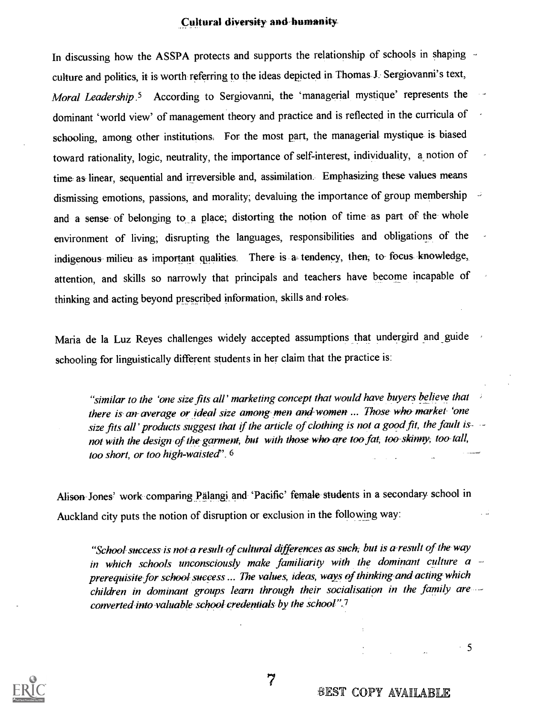#### Cultural diversity- and humanity

In discussing how the ASSPA protects and supports the relationship of schools in shaping -culture and politics, it is worth referring to the ideas depicted in Thomas J. Sergiovanni's text, Moral Leadership <sup>5</sup> According to Sergiovanni, the 'managerial mystique' represents the dominant 'world view' of management theory and practice and is reflected in the curricula of schooling, among other institutions. For the most part, the managerial-mystique- is- biased toward rationality, logic, neutrality, the importance of self-interest, individuality, a notion of time as-linear, sequential and irreversible and, assimilation. Emphasizing these values means dismissing emotions, passions, and morality; devaluing the importance of group membership and a sense of belonging to a place; distorting the notion of time as part of the whole environment of living; disrupting the languages, responsibilities and obligations of the indigenous milieu as important qualities. There is a- tendency, then, to- focus- knowledge, attention, and skills so narrowly that principals and teachers have become incapable of thinking and acting beyond prescribed information, skills and roles-

Maria de la Luz Reyes challenges widely accepted assumptions that undergird and \_guide schooling for linguistically different students in her claim that the practice is:

"similar to the 'one size fits all' marketing concept that would have buyers believe that there is an average or ideal size among men and women ... Those who market 'one size fits all' products suggest that if the article of clothing is not a good fit, the fault is  $\sim$ not with the design of the garment, but with those who are too fat, too-skinny, too-tall, too short, or too high-waisted".  $6$ 

Alison Jones' work comparing Palangi and 'Pacific' female students in a secondary school in Auckland city puts the notion of disruption or exclusion in the following way:

"School success is not a result of cultural differences as such, but is a-result of the way in which schools unconsciously make familiarity with the dominant culture  $a$ prerequisite for school success ... The values, ideas, ways of thinking-and acting which children in dominant groups learn through their socialisation in the family are converted-into valuable school credentials by the school".7



BEST COPY AVAILABLE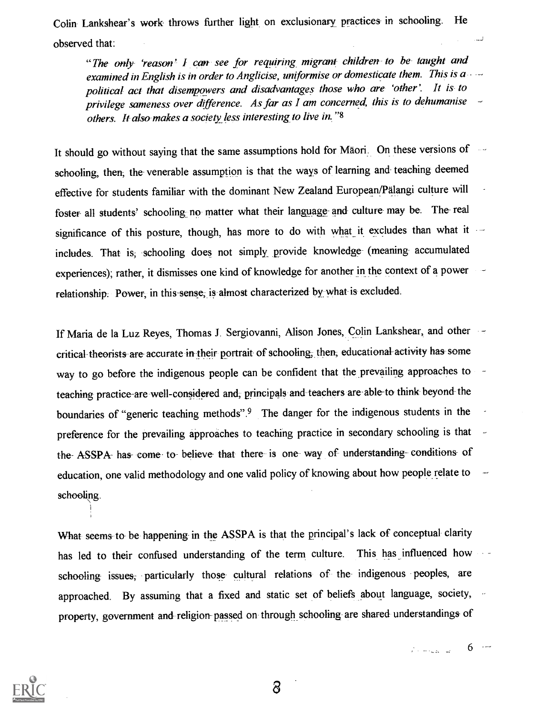Colin- Lankshear's work throws further light on exclusionary practices in schooling. He  $\alpha$  observed that:  $\alpha$  is a set of the set of the set of the set of the set of the set of the set of the set of the set of the set of the set of the set of the set of the set of the set of the set of the set of the set

"The only 'reason' I can see for requiring migrant children- to be- taught and examined in English is in order to Anglicise, uniformise or domesticate them. This is  $a -$ political act that disempowers and disadvantages those who are 'other'. It is to  $\overline{\phantom{a}}$  privilege sameness over difference. As far as I am concerned, this is to dehumanise  $\overline{\phantom{a}}$ others. It also makes a society less interesting to live in. "8

It should go without saying that the same assumptions hold for Mäori. On these versions of schooling, then, the venerable assumption is that the ways of learning and teaching deemed effective for students familiar with the dominant New Zealand European/Palangi culture will foster all students' schooling no matter what their language and culture may be. The real significance of this posture, though, has more to do with what it excludes than what it ... includes. That is, schooling does not simply provide knowledge- (meaning- accumulated experiences); rather, it dismisses one kind of knowledge for another in the context of a power relationship. Power, in this sense, is almost characterized by what is excluded.

If Maria de la Luz Reyes, Thomas J. Sergiovanni, Alison Jones, Colin Lankshear, and other critical theorists are- accurate in their portrait of schooling, then, educational activity has- some way to go before the indigenous people can be confident that the prevailing approaches to teaching practice-are well-considered and, principals and teachers are able-to think beyond the boundaries of "generic teaching methods".9 The danger for the indigenous students in the preference for the prevailing approaches to teaching practice in secondary schooling is that the- ASSPA- has come to- believe- that there- is one- way of- understanding- conditions- of education, one valid methodology and one valid policy of knowing about how people relate to schooling.

What seems to be happening in the ASSPA is that the principal's lack of conceptual- clarity has led to their confused understanding of the term culture. This has influenced how schooling- issues; particularly those cultural relations of the indigenous peoples, are approached. By assuming that a fixed and static set of beliefs about language, society, property, government and religion passed on- through schooling are shared understandings of



 $\beta$  and  $\beta$  and  $\beta$  6 and  $\beta$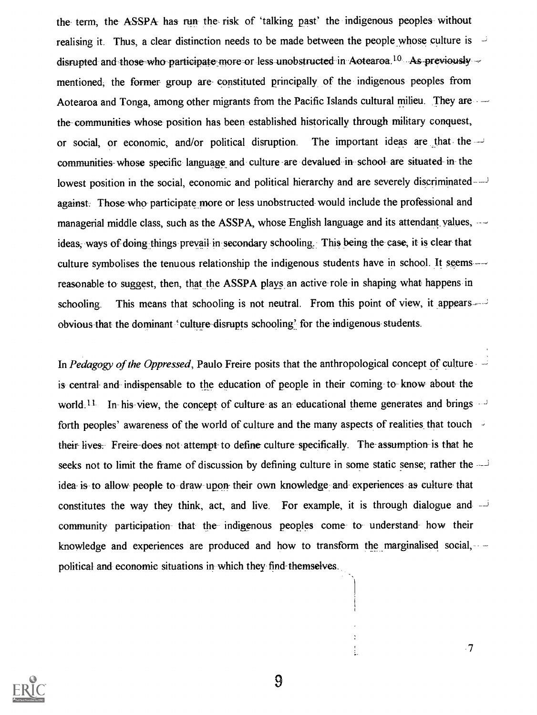the term, the ASSPA has run the risk of 'talking past' the indigenous peoples without realising it. Thus, a clear distinction needs to be made between the people whose culture is disrupted and those who participate more or less unobstructed in Aotearoa.<sup>10</sup> As previously  $\sim$ mentioned, the former- group are- constituted principally of the indigenous peoples from Aotearoa and Tonga, among other migrants from the Pacific Islands cultural milieu. They are the- communities whose position has been established historically through military conquest, or social, or economic, and/or political disruption. The important ideas are that the communities whose specific language and culture are devalued in school are situated in the lowest position in the social, economic and political hierarchy and are severely discriminated against. Those who participate more or less unobstructed would include the professional and managerial middle class, such as the ASSPA, whose English language and its attendant values,  $$ ideas, ways of doing things prevail in secondary schooling, This being the case, it is clear that culture symbolises the tenuous relationship the indigenous students have in school. It seems reasonable to suggest, then, that the ASSPA plays an active role in shaping what happens in schooling. This means that schooling is not neutral. From this point of view, it appears obvious-that the dominant 'culture disrupts schooling: for the indigenous students.

In Pedagogy of the Oppressed, Paulo Freire posits that the anthropological concept of culture is- central- and indispensable to the education of people in their coming- to know about- the world.  $11$  In his view, the concept of culture as an educational theme generates and brings forth peoples' awareness of the world of culture and the many aspects of realities that touch their lives: Freire-does not attempt- to define- culture specifically. The- assumption is that he seeks not to limit the frame of discussion by defining culture in some static sense; rather the idea- is- to allow- people to draw upon their own knowledge and experiences as culture- that constitutes the way they think, act, and live. For example, it is through dialogue and  $\overline{a}$ community participation that the- indigenous peoples come- to- understand how their knowledge and experiences are produced and how to transform the marginalised social,  $\sim$ political and economic situations in which they find themselves.



9

ŧ.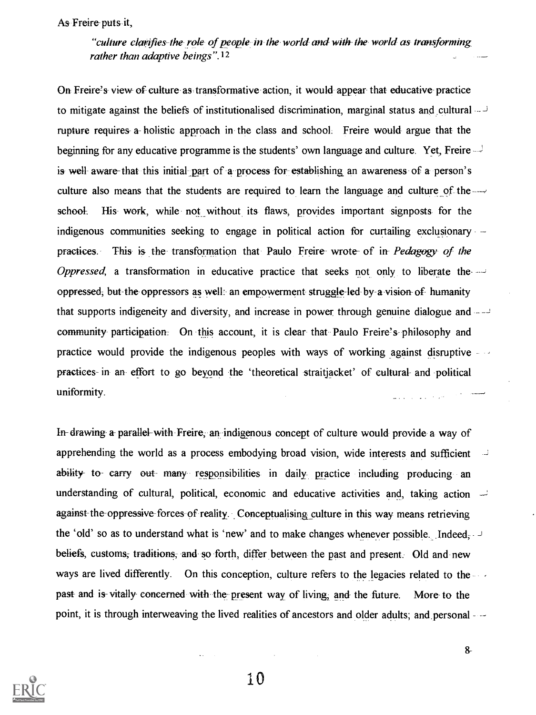As Freire puts it,

"culture clarifies- the role of people in the world and with the world as transforming rather than adaptive beings".<sup>12</sup>

On Freire's view of culture as transformative action, it would appear that educative practice to mitigate against the beliefs of institutionalised discrimination, marginal status and cultural  $\rightarrow$ rupture requires- a- holistic approach in the class and school: Freire would argue that the beginning for any educative programme is the students' own language and culture. Yet, Freire is- well- aware-that this initial part of a process for establishing an awareness of a person's culture also means that the students are required to learn the language and culture of the  $\rightarrow$ school. His work, while not without its flaws, provides important signposts for the indigenous communities seeking to engage in political action for curtailing exclusionary practices. This is the transformation that Paulo Freire wrote of in Pedagogy of the Oppressed, a transformation in educative practice that seeks not only to liberate the oppressed, but-the oppressors as well : an empowerment struggle- led by a vision of humanity that supports indigeneity and diversity, and increase in power through genuine dialogue and community participation. On this account, it is clear that Paulo Freire's philosophy and practice would provide the indigenous peoples with ways of working against disruptive - practices- in an effort to go beyond the 'theoretical straitjacket' of cultural and political uniformity.

In drawing a- parallel- with Freire, an indigenous concept of culture would provide- a way of apprehending the world as a process embodying broad vision, wide interests and sufficient ability- to- carry out many responsibilities in daily- practice including producing an understanding of cultural, political, economic and educative activities and, taking action against-the-oppressive forces of reality. Conceptualising culture in this way means retrieving the 'old' so as to understand what is 'new' and to make changes whenever possible. Indeed, beliefs, customs, traditions, and so forth, differ between the past and present. Old and new ways are lived differently. On this conception, culture refers to the legacies related to the past and is- vitally concerned with the present way of living, and the future. More to the point, it is through interweaving the lived realities of ancestors and older adults; and personal --



10

 $8 -$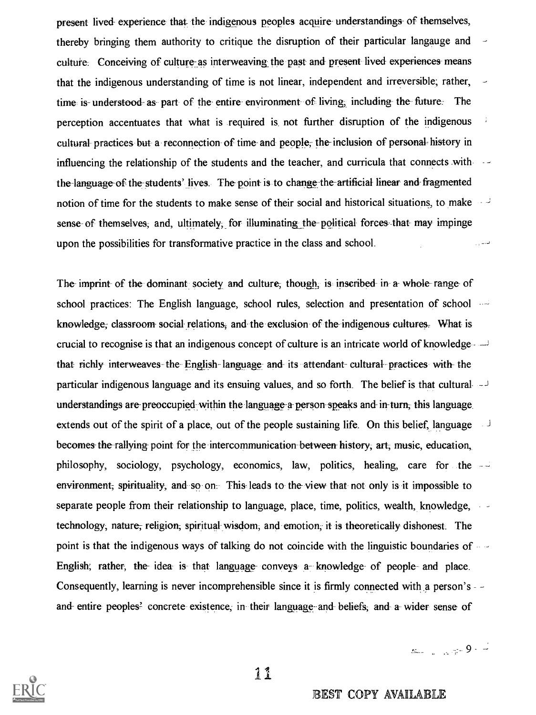present lived- experience that the indigenous peoples acquire understandings- of themselves, thereby bringing them authority to critique the disruption of their particular langauge and culture. Conceiving of culture -as interweaving the past and present lived experiences means that the indigenous understanding of time is not linear, independent and irreversible; rather, time is- understood- as part of the entire- environment of living, including the future. The perception accentuates that what is required is not further disruption of the indigenous cultural- practices but a reconnection of time- and people; the-inclusion of personal- history in influencing the relationship of the students and the teacher, and curricula that connects with the language of the students' lives. The point is to change the artificial linear and fragmented notion of time for the students to make sense of their social and historical situations, to make sense- of themselves, and, ultimately, for illuminating the political forces- that may impinge upon the possibilities for transformative practice in the class and school. فالداران

The imprint- of the-dominant society and culture; though, is inscribed in a whole- range of school practices: The English language, school rules, selection and presentation of school  $$ knowledge; classroom-social-relations, and the exclusion of the indigenous cultures. What is crucial to recognise is that an indigenous concept of culture is an intricate world of knowledge that richly interweaves the- English language and its attendant- cultural practices with- the particular indigenous language and its ensuing values, and so forth. The belief is that cultural  $\rightarrow$ understandings are-preoccupied within the language-a- person-speaks and- in-turn; this language extends out of the spirit of a place, out of the people sustaining life. On this belief, language becomes the rallying point for the intercommunication between history, art, music, education, philosophy, sociology, psychology, economics, law, politics, healing, care for the environment; spirituality, and so on. This leads to the view that not only is it impossible to separate people from their relationship to language, place, time, politics, wealth, knowledge,  $\sim$ technology, nature; religion; spiritual wisdom, and emotion; it is theoretically dishonest. The point is that the indigenous ways of talking do not coincide with the linguistic boundaries of English; rather, the idea is that language conveys a knowledge of people and place. Consequently, learning is never incomprehensible since it is firmly connected with a person's - and entire peoples<sup>2</sup> concrete existence, in their language and beliefs; and a wider sense of



1I

BEST COPY AVAILABLE

 $s_{-}$  ,  $s_{+}$  9.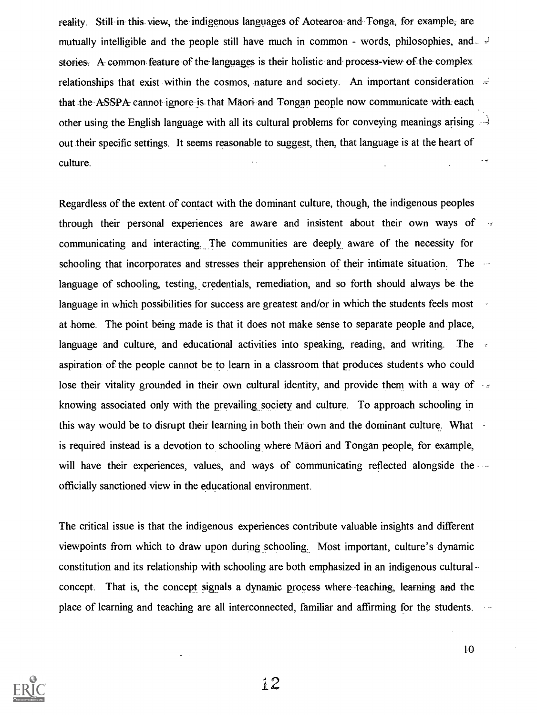reality. Still in this view, the indigenous languages of Aotearoa- and Tonga, for example; are mutually intelligible and the people still have much in common - words, philosophies, and  $\overline{\phantom{a}}$ stories: A common feature of the languages is their holistic and process-view of the complex relationships that exist within the cosmos, nature and society. An important consideration  $\Rightarrow$ that the ASSPA cannot ignore is that Mäori and Tongan people now communicate with each other using the English language with all its cultural problems for conveying meanings arising out their specific settings. It seems reasonable to suggest, then, that language is at the heart of  $\cdot$   $\neq$ culture.

Regardless of the extent of contact with the dominant culture, though, the indigenous peoples through their personal experiences are aware and insistent about their own ways of communicating and interacting. The communities are deeply aware of the necessity for schooling that incorporates and stresses their apprehension of their intimate situation. The language of schooling, testing, credentials, remediation, and so forth should always be the language in which possibilities for success are greatest and/or in which the students feels most at home. The point being made is that it does not make sense to separate people and place, language and culture, and educational activities into speaking, reading, and writing. The aspiration- of the people cannot be to learn in a classroom that produces students who could lose their vitality grounded in their own cultural identity, and provide them with a way of knowing associated only with the prevailing society and culture. To approach schooling in this way would be to disrupt their learning in both their own and the dominant culture. What is required instead is a devotion to schooling where Mäori and Tongan people, for example, will have their experiences, values, and ways of communicating reflected alongside the officially sanctioned view in the educational environment.

The critical issue is that the indigenous experiences contribute valuable insights and different viewpoints from which to draw upon during schooling. Most important, culture's dynamic constitution and its relationship with schooling are both emphasized in an indigenous cultural concept. That is, the concept signals a dynamic process where- teaching, learning and the place of learning and teaching are all interconnected, familiar and affirming for the students.

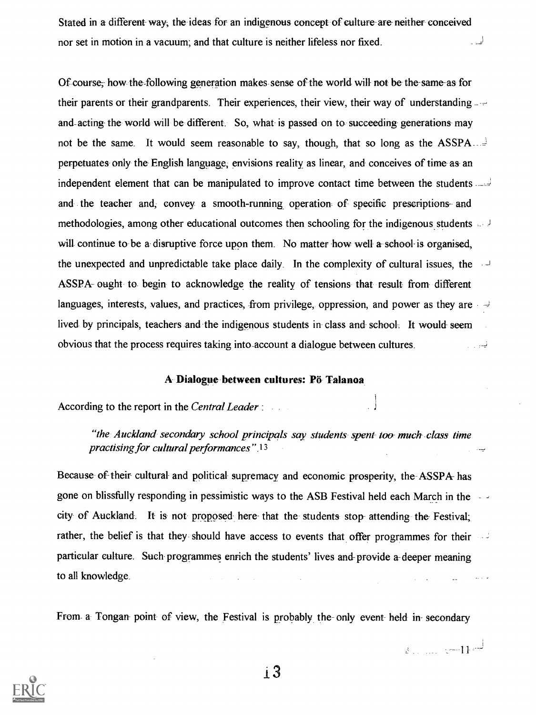Stated in a different- way, the ideas for an indigenous concept of culture are neither conceived nor set in motion in a vacuum; and that culture is neither lifeless nor fixed. لي .

Of course; how the-following generation makes sense of the world will- not be the-same-as for their parents or their grandparents. Their experiences, their view, their way of understanding and-acting- the world will be different. So, what- is passed on to succeeding generations- may not be the same. It would seem reasonable to say, though, that so long as the ASSPA\_\_ perpetuates only the English language, envisions reality as linear, and conceives of time as an independent element that can be manipulated to improve contact time between the students and the teacher and, convey a smooth-running operation of specific prescriptions- and methodologies, among other educational outcomes then schooling for the indigenous students will continue to be a disruptive force upon them. No matter how well a school-is organised, the unexpected and unpredictable take place daily. In the complexity of cultural issues, the ASSPA- ought to begin to acknowledge the reality of tensions that result- from different languages, interests, values, and practices, from privilege, oppression, and power as they are  $\rightarrow$ lived by principals, teachers and the indigenous students in class and school. It would seem obvious that the process requires taking into account a dialogue between cultures. نياء المسار

#### A- Dialogue between cultures: Po Talanoa

According to the report in the Central Leader:

"the Auckland secondary school principals say students spent too much class time practising for cultural performances".<sup>13</sup>

Because of their cultural- and political- supremacy and economic prosperity, the ASSPA has gone on blissfully responding in pessimistic ways to the ASB Festival held each March in the city of Auckland. It is not proposed here- that the students stop- attending the Festival; rather, the belief is that they should have access to events that offer programmes for their particular culture. Such programmes enrich the students' lives and- provide a- deeper meaning to all knowledge.

From a- Tongan- point of view, the Festival is probably the- only event held in- secondary



i 3

 $\frac{1}{2}$  . . . . . . . . . . . . 11  $\frac{1}{2}$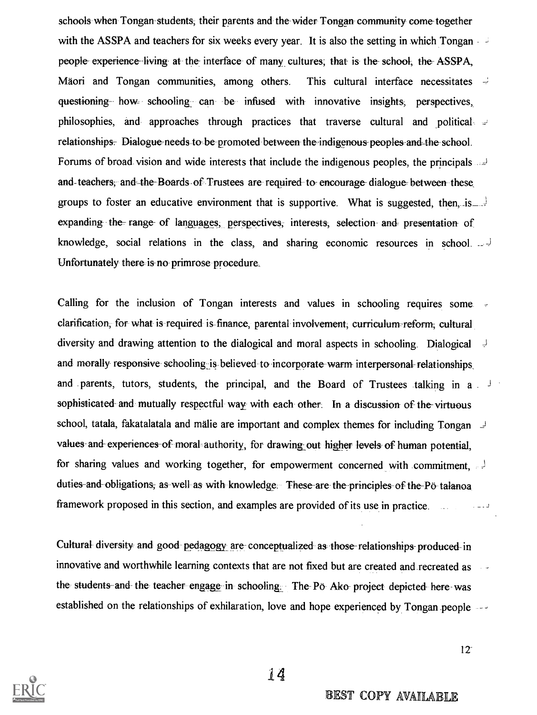schools when Tongan-students; their parents and the-wider Tongan community come-together with the ASSPA and teachers for six weeks every year. It is also the setting in which Tongan people- experience-living at the interface of many cultures; that is the school, the ASSPA, Mäori and Tongan communities, among others. This cultural interface necessitates  $\frac{1}{2}$ questioning how= schooling, can -be- infused with innovative insights; perspectives, philosophies, and approaches through practices that traverse cultural and political relationships. Dialogue-needs to be promoted between the indigenous-peoples-and-the-school. Forums of broad vision and wide interests that include the indigenous peoples, the principals and-teachers, and the Boards of Trustees are required to encourage dialogue between these groups to foster an educative environment that is supportive. What is suggested, then, is  $\frac{1}{2}$ expanding the range of languages; perspectives; interests, selection and presentation of knowledge, social relations in the class, and sharing economic resources in school. \_ Unfortunately there is no primrose procedure.

Calling for the inclusion of Tongan interests and values in schooling requires some clarification, for what is required is finance, parental involvement, curriculum-reform; cultural diversity and drawing attention to the dialogical and moral aspects in schooling. Dialogical and morally responsive schooling is believed to incorporate warm interpersonal-relationships and parents, tutors, students, the principal, and the Board of Trustees talking in a sophisticated and mutually respectful way with each other. In a discussion of the virtuous school, tatala, fakatalatala and mälie are important and complex themes for including Tongan  $\perp$ values and experiences of moral authority, for drawing out higher levels of human potential, for sharing values and working together, for empowerment concerned with commitment, duties and obligations, as well as with knowledge. These are the principles of the Pö- talanoa framework proposed in this section, and examples are provided of its use in practice.

Cultural-diversity- and good- pedagogy- are- conceptualized as those-relationships-produced in innovative and worthwhile learning contexts that are not fixed but are created and recreated as the students and the teacher engage in schooling. The Pö Ako project depicted here was established on the relationships of exhilaration, love and hope experienced by Tongan people

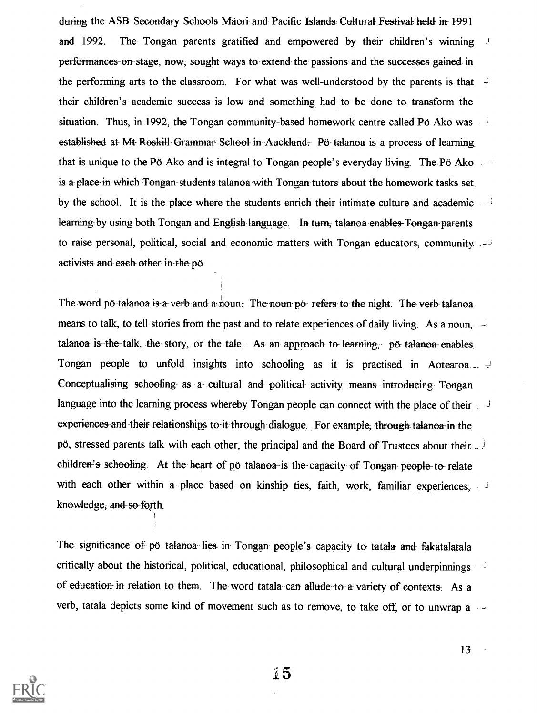during the ASB- Secondary Schools Maori and Pacific Islands- Cultural- Festival held in 1991 and 1992. The Tongan parents gratified and empowered by their children's winning performances on stage, now, sought ways to extend the passions and the successes gained in the performing arts to the classroom. For what was well-understood by the parents is that  $\frac{1}{2}$ their children's- academic success- is low and something had to be done- to- transform- the situation. Thus, in 1992, the Tongan community-based homework centre called Po Ako was established at Mt- Roskill- Grammar- School in Auckland. Po talanoa is a- process of learning that is unique to the Pö Ako and is integral to Tongan people's everyday living. The Pö Ako is a place-in which Tongan students talanoa with Tongan tutors about the homework tasks set by the school. It is the place where the students enrich their intimate culture and academic learning by using both Tongan and English language. In turn, talanoa enables-Tongan parents to raise personal, political, social and economic matters with Tongan educators, community activists and each- other in the pd.

The word po-talanoa is a verb and a noun. The noun po- refers to the night. The verb talanoa means to talk, to tell stories from the past and to relate experiences of daily living. As a noun, talanoa- is-the-talk, the-story, or the-tale. As an approach to- learning, po- talanoa- enables. Tongan people to unfold insights into schooling as it is practised in Aotearoa...  $\downarrow$ Conceptualising schooling as a cultural and political activity means introducing Tongan language into the learning process whereby Tongan people can connect with the place of their  $\frac{1}{2}$ experiences and their relationships to it through dialogue. For example, through talanoa in the po, stressed parents talk with each other, the principal and the Board of Trustees about their children's schooling. At the heart of po talanoa- is the capacity of Tongan people- to- relate with each other within a place based on kinship ties, faith, work, familiar experiences, knowledge; and so forth.

The- significance of po talanoa lies in Tongan- people's capacity to tatala and fakatalatala critically about the historical, political, educational, philosophical and cultural underpinnings of education in relation- to- them: The word tatala can allude to a- variety of contexts. As a verb, tatala depicts some kind of movement such as to remove, to take off, or to unwrap a

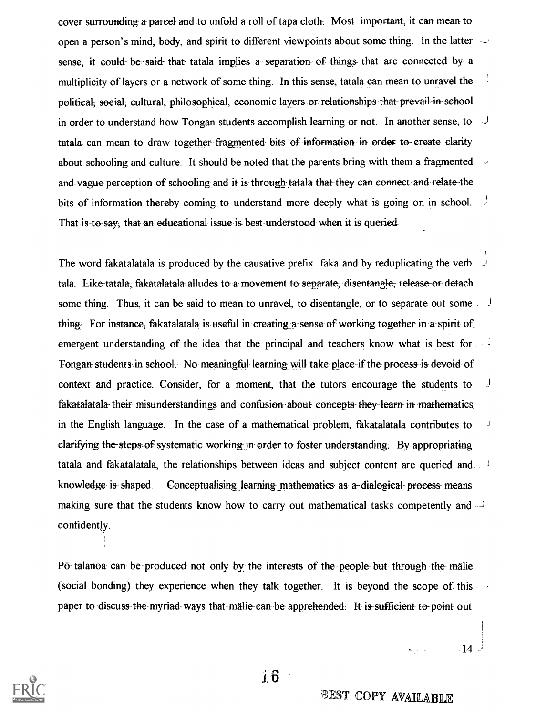cover surrounding a parcel and to unfold a roll of tapa cloth. Most important, it can mean to open a person's mind, body, and spirit to different viewpoints about some thing. In the latter sense, it could be said that tatala implies a separation of things that are connected by a multiplicity of layers or a network of some thing. In this sense, tatala can mean to unravel the political; social, cultural; philosophical; economic layers orrrelationships -that prevail, in- school in order to understand how Tongan students accomplish learning or not. In another sense, to tatala can mean to draw together fragmented bits of information in order to create clarity about schooling and culture. It should be noted that the parents bring with them a fragmented  $\rightarrow$ and vague perception of schooling and it is through tatala that they can connect and relate the bits of information thereby coming to understand more deeply what is going on in school. That is to say; that an educational issue- is-best- understood when it is queried-

The word fakatalatala is produced by the causative prefix faka and by reduplicating the verb tala. Like-tatala, fakatalatala alludes to a movement to separate, disentangle, release or detach some thing. Thus, it can be said to mean to unravel, to disentangle, or to separate out some  $\frac{1}{2}$ thing: For instance; fakatalatala is useful in creating a sense of working together-in a spirit- of emergent understanding of the idea that the principal and teachers know what is best for Tongan students in school. No meaningful-learning will take place if the process is devoid- of context and practice. Consider, for a moment, that the tutors encourage the students to fakatalatala their misunderstandings and confusion about concepts they learn in mathematics in the English language. In the case of a mathematical problem, fakatalatala contributes to clarifying the steps-of systematic working in order to foster understanding. By appropriating tatala and fakatalatala, the relationships between ideas and subject content are queried and  $\Box$ knowledge- is-shaped. Conceptualising learning mathematics as a-dialogical-process-means making sure that the students know how to carry out mathematical tasks competently and confidently.

Po talanoa- can be-produced not only by the interests- of the people- but through the malie (social bonding) they experience when they talk together. It is beyond the scope of this paper to discuss the myriad-ways that malie-can be apprehended. It is sufficient to point out



 $16$ 

ا<br>14 - المساوي المساوي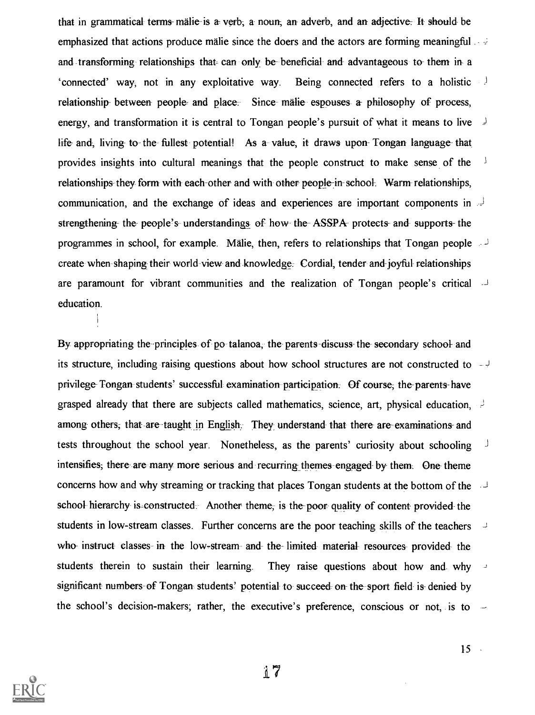that in grammatical terms- malie is a- verb, a noun-, an adverb, and an- adjective: It should be emphasized that actions produce malie since the doers and the actors are forming meaningful and transforming relationships that can only be beneficial and advantageous to them in-'connected' way, not in any exploitative way. Being connected refers to a holistic  $\frac{1}{2}$ relationship- between people- and place. Since malie espouses a- philosophy of process, energy, and transformation it is central to Tongan people's pursuit of what it means to live j life and, living- to- the fullest potential! As a value, it draws upon- Tongan language that provides insights into cultural meanings that the people construct to make sense of the relationships they form with each other and with other people in school. Warm relationships, communication, and the exchange of ideas and experiences are important components in strengthening- the people's understandings of how the ASSPA protects and supports the programmes in school, for example. Malie, then, refers to relationships that Tongan people create when shaping their world-view and knowledge. Cordial, tender and-joyful relationships are paramount for vibrant communities and the realization of Tongan people's critical education.

By appropriating the principles of po talanoa, the parents discuss the secondary school and its structure, including raising questions about how school structures are not constructed to privilege Tongan students' successful examination participation. Of course, the parents-have grasped already that there are subjects called mathematics, science, art, physical education,  $\frac{1}{2}$ among- others; that-are-taught in English. They understand that there are examinations- and tests throughout the school year. Nonetheless, as the parents' curiosity about schooling intensifies; there are many more serious and recurring themes engaged by them. One theme concerns how and why streaming or tracking that places Tongan students at the bottom of the school hierarchy is constructed. Another theme, is the poor quality of content provided the students in low-stream classes. Further concerns are the poor teaching skills of the teachers who- instruct classes in the low-stream and the limited material resources- provided- the students therein to sustain their learning. They raise questions about how and why significant-numbers of Tongan students' potential to succeed on the sport field is denied by the school's decision-makers; rather, the executive's preference, conscious or not, is to

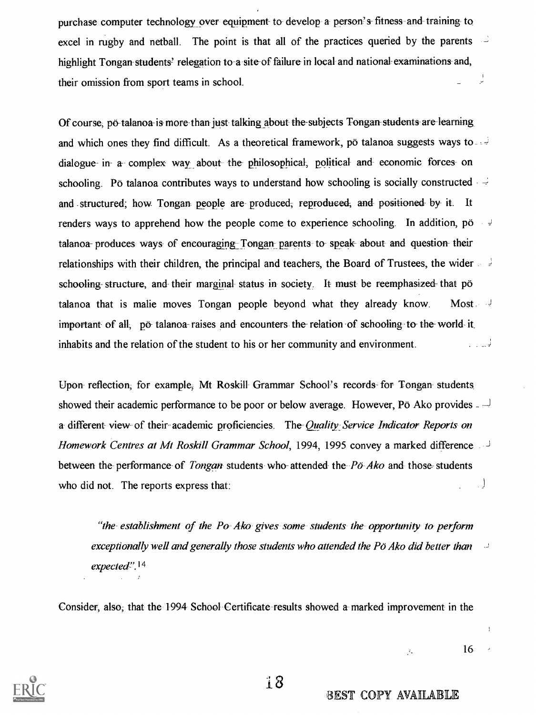purchase computer technology over equipment to develop a- person's- fitness-and training- to excel in rugby and netball. The point is that all of the practices queried by the parents highlight Tongan students' relegation to a site of failure in local and national examinations and, ا<br>بر their omission from sport teams in school.

Of course; po-talanoa-is more than just talking about the subjects Tongan students are learning and which ones they find difficult. As a theoretical framework, po talanoa suggests ways to dialogue- in- a- complex way about the- philosophical, political and economic forces on schooling. Po talanoa contributes ways to understand how schooling is socially constructed and structured; how Tongan people are- produced; reproduced; and positioned- by- it. It renders ways to apprehend how the people come to experience schooling. In addition, po talanoa- produces ways of encouraging Tongan parents to speak about and question their relationships with their children, the principal and teachers, the Board of Trustees, the wider schooling structure, and their marginal status in society. It must be reemphasized that po talanoa that is malie moves Tongan people beyond what they already know. Most important- of all; po-talanoa raises and encounters the-relation of schooling-to- the world- it الي ب inhabits and the relation of the student to his or her community and environment.

Upon- reflection, for example, Mt Roskill Grammar School's records-for Tongan-students showed their academic performance to be poor or below average. However, Pö Ako provides  $\overline{a}$ a- different-view of their academic proficiencies. The Quality Service Indicator Reports on Homework Centres at Mt Roskill Grammar School, 1994, 1995 convey a marked difference between the performance of *Tongan* students who attended the  $P\ddot{o}$  Ako and those students  $\cdot$ who did not. The reports express that:

"the establishment of the Po Ako gives some students the opportunity to perform  $exceptionally well and generally those students who attended the Pö Ako did better than  $\rightarrow$$  $expected$ ".<sup>14</sup>

Consider, also; that the 1994 School Certificate results showed a marked improvement in the



BEST COPY AVAILABLE

 $\mathcal{R}_\mathrm{c}$ 

16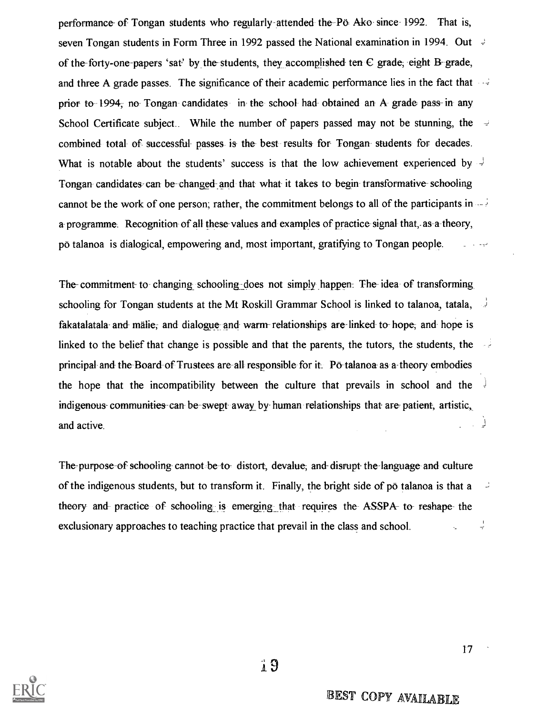performance of Tongan students who- regularly attended the Po- Ako- since 1992. That is, seven Tongan students in Form Three in 1992 passed the National examination in 1994. Out of the-forty-one-papers 'sat' by the students, they accomplished ten  $C$  grade; eight B- grade, and three A grade passes. The significance of their academic performance lies in the fact that prior to 1994, no Tongan candidates in the school- had- obtained an A grade pass- in any School Certificate subject.. While the number of papers passed may not be stunning, the combined total- of- successful- passes is the best results for Tongan students for decades. What is notable about the students' success is that the low achievement experienced by Tongan candidates can be changed and that what it takes to begin- transformative- schooling cannot be the work of one person; rather, the commitment belongs to all of the participants in a- programme. Recognition of all these values and examples of practice-signal that,- as-a-theory, po talanoa is dialogical, empowering and, most important, gratifying to Tongan people.

The- commitment to- changing schooling-does not simply happen. The- idea of transforming schooling for Tongan students at the Mt Roskill Grammar School is linked to talanoa, tatala, fakatalatala- and malie, and dialogue and warm- relationships are-linked to-hope, and hope is linked to the belief that change is possible and that the parents, the tutors, the students, the principal and the-Board of Trustees are all responsible for it. Po-talanoa as a-theory embodies the hope that the incompatibility between the culture that prevails in school and the indigenous- communities-can be swept away by- human relationships that are- patient, artistic, and active.

The-purpose of schooling- cannot be to- distort, devalue; and- disrupt- the language and culture of the indigenous students, but to transform it. Finally, the bright side of po talanoa is that a theory and practice of schooling is emerging that requires the ASSPA- to- reshape- the  $\frac{1}{2}$ exclusionary approaches to teaching practice that prevail in the class and school.



17

Ù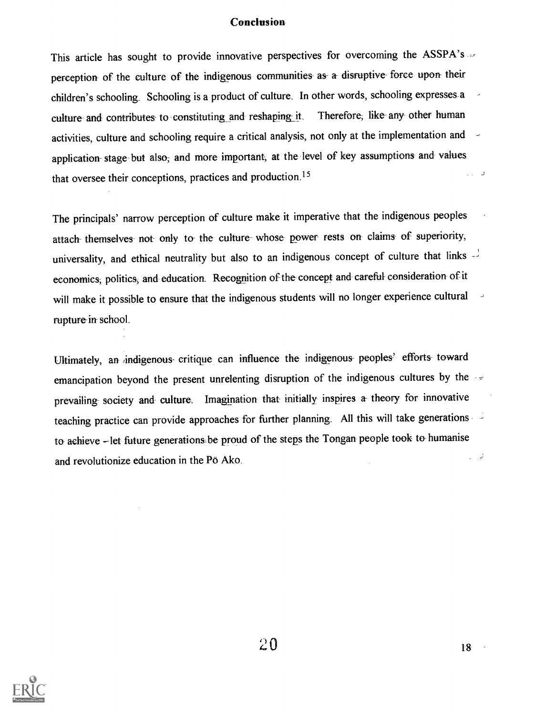#### **Conclusion**

This article has sought to provide innovative perspectives for overcoming the ASSPA's ... perception of the culture of the indigenous communities as- a disruptive- force upon their children's schooling. Schooling is a product of culture. In other words, schooling expresses a culture and contributes to constituting and reshaping it. Therefore, like any other human activities, culture and schooling require a critical analysis, not only at the implementation and application- stage but also, and more important, at the level of key assumptions and values that oversee their conceptions, practices and production.15  $\Box$  .  $\Box$ 

The principals' narrow perception of culture make it imperative that the indigenous peoples attach themselves not only to the culture whose power rests on claims of superiority, universality, and ethical neutrality but also to an indigenous concept of culture that links economics; politics, and education. Recognition of the concept and careful consideration- of it will make it possible to ensure that the indigenous students will no longer experience cultural rupture in school.

Ultimately, an indigenous critique can influence the indigenous peoples' efforts toward emancipation beyond the present unrelenting disruption of the indigenous cultures by the prevailing- society and culture. Imagination that initially inspires a- theory for innovative teaching practice can provide approaches for further planning. All this will take generations to achieve - let future generations be proud of the steps the Tongan people took to humanise  $\Box$ and revolutionize education in the Pö Ako.

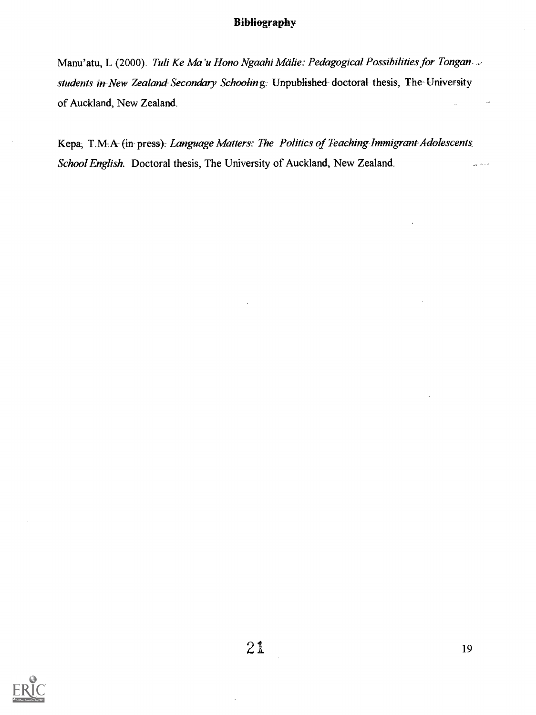#### Bibliography

Manu'atu, L (2000). Tuli Ke Ma'u Hono Ngaahi Mälie: Pedagogical Possibilities for Tonganstudents in New Zealand Secondary Schooling. Unpublished doctoral thesis, The University of Auckland, New Zealand.

Kepa, T.M.A- (in- press): Language Matters: The Politics of Teaching-Immigrant-Adolescents School English. Doctoral thesis, The University of Auckland, New Zealand. داد بر

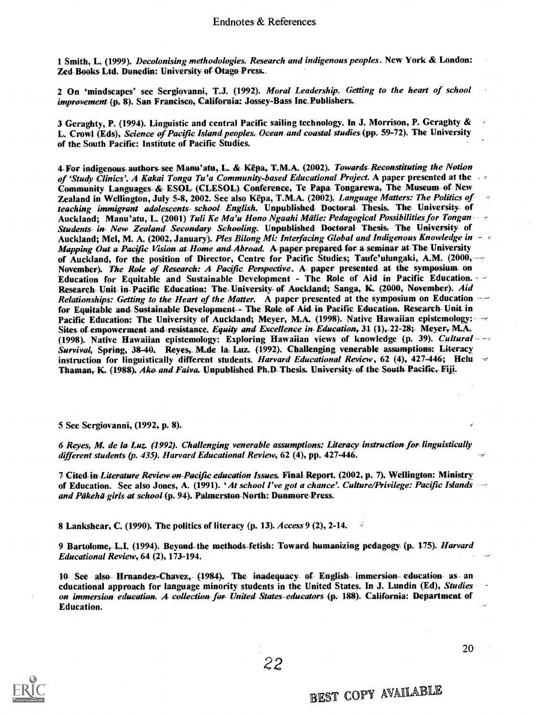1 Smith, L. (1999). Decolonising methodologies. Research and indigenous peoples. New York & London: Zed Books Ltd. Dunedin: University of- Otago-Press.\_

2 On 'mindscapes' see Sergiovanni, T.J. (1992). Moral Leadership. Getting to the heart of school improvement (p. 8). San- Francisco, California: Jossey-Bass Inc\_Publishers.

3 Geraghty, P. (1994). Linguistic and central Pacific sailing technology. In J. Morrison, P. Geraghty & L. Crowl (Eds), Science of Pacific Island peoples. Ocean and coastal studies (pp. 59-72). The University of the South Pacific: Institute of Pacific Studies.

4-For indigenous-authors-see Manu'atu, L. & Këpa, T.M.A. (2002). Towards-Reconstituting the Notion<br>of 'Study Clinics'. A Kakai Tonga Tu'a Community-based Educational Project. A paper presented at the Community Languages-& ESOL (CLESOL) Conference, Te Papa-Tongarewa, The Museum- of New Zealand in Wellington, July 5-8, 2002. See also Këpa, T.M.A. (2002). Language Matters: The Politics of teaching immigrant adolescents school English. Unpublished Doctoral Thesis. The University of<br>Auckland: Manu'atu, L. (2001) Tuli Ke Ma'u Hono Ngaahi Mälie: Pedagogical Possibilities for Tongan Students in New Zealand Secondary Schooling. Unpublished Doctoral Thesis. The University of Auckland; Mel, M. A. (2002, January). Ples Bilong Mi: Interfacing Global and Indigenous Knowledge in - -<br>Mapping Out a Pacific- Vision at Home and-Abroad. A paper prepared-for a seminar at The University of Auckland, for the position of Director, Centre for Pacific Studies; Taufe'ulungaki, A.M. (2000, --November). The Role of Research: A Pacific Perspective. A paper presented at the symposium on Education for Equitable and Sustainable Development - The Role of Aid in Pacific Education. -  $\sim$  Research Unit- in Pacific Education: The University of Auckland; Sanga, K. (2000, November). Aid Relationships: Getting to the Heart of the Matter. A paper presented at the symposium on Education  $-$  for Equitable and Sustainable Development - The Role of Aid in Pacific Education. Research Unit in Pacific Education: The University of Auckland; Meyer, M.A. (1998). Native Hawaiian epistemology:  $\rightarrow$ Sites- of empowerment and-resistance. Equity and Excellence in-Education, 31 (1),-22-28; Meyer, M.A. (1998). Native Hawaiian epistemology: Exploring Hawaiian views of knowledge (p. 39). Cultural  $-$ Survival, Spring, 38-40. Reyes, M.de la Luz. (1992). Challenging venerable assumptions: Literacy instruction for linguistically different students. Harvard Educational Review, 62 (4), 427-446; Helu Thaman, K. (1988). Ako-and Faiva. Unpublished Ph.D-Thesis. University of the South Pacific, Fiji.

5 See Sergiovanni, (1992, p. 8).

6 Reyes, M. de la Luz. (1992). Challenging venerable assumptions: Literacy instruction for linguistically different students (p. 435). Harvard Educational Review, 62 (4), pp. 427-446.

7 Cited in Literature Review on Pacific education Issues. Final Report. (2002, p. 7). Wellington: Ministry of Education. See also Jones, A. (1991). 'At school I've got a chance'. Culture/Privilege: Pacific Islands --and Päkehä girls at school (p. 94). Palmerston-North: Dunmore-Press.

8 Lankshear, C. (1990). The politics of literacy (p. 13). Access 9 (2), 2-14.

9 Bartolome, L.I. (1994). Beyond -the methods-fetish: Toward- humanizing pedagogy- (p. 175). Harvard Educational Review, 64 (2), 173-194.

10- See also Hrnandez-Chavez, (1984). The inadequacy of English immersion education as an educational approach for language minority students in the United States. In J. Lundin (Ed), Studies on immersion education. A collection for United States- educators (p. 188). California: Department of Education.

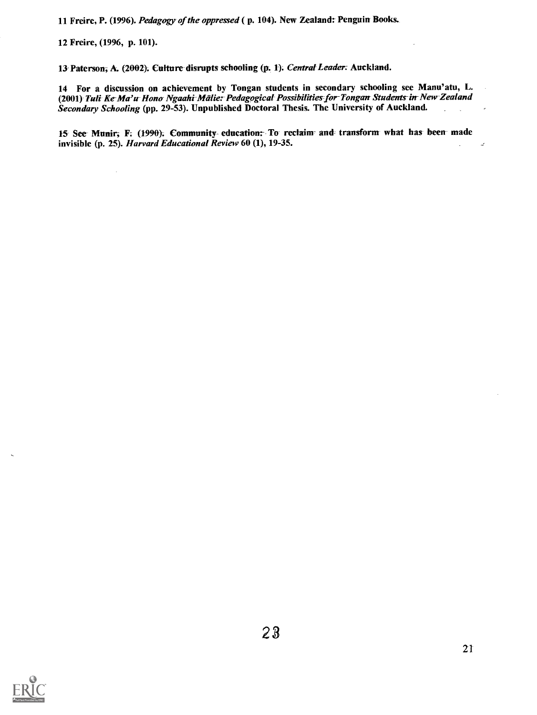11 Freire, P. (1996). Pedagogy of the oppressed ( p. 104). New Zealand: Penguin Books.

12 Freire, (1996, p. 101).

13 Paterson; A. (2002). Culture disruptg schooling (p. 1). Central Leader; Auckland.

14 For a discussion on achievement by Tongan students in secondary schooling see Manu'atu, L. (2001) Tuli Ke-Ma'u Hono Ngaahi Mälie: Pedagogical Possibilities for Tongan Students in New Zealand Secondary Schooling (pp. 29-53). Unpublished Doctoral Thesis. The University of Auckland.

15 See Munir, F. (1990). Community-education: To reclaim and transform what has been made invisible (p. 25). Harvard Educational Review 60 (1), 19-35.

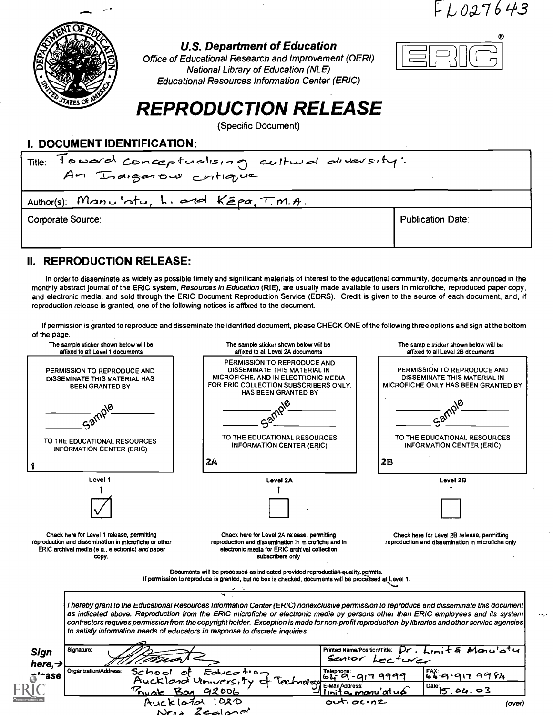$FL027643$ 



#### U.S. Department of Education

Office of Educational Research and Improvement (OERI) National Library of Education (NLE) Educational Resources Information Center (ERIC)



# REPRODUCTION RELEASE

(Specific Document)

#### I. DOCUMENT IDENTIFICATION:

| Toward conceptualising cultural diversity:<br>Title:<br>An Indigenous critique |                          |  |  |  |  |
|--------------------------------------------------------------------------------|--------------------------|--|--|--|--|
| Author(s): Manu'atu, L. and Kēpa, T.M.A.                                       |                          |  |  |  |  |
| <b>Corporate Source:</b>                                                       | <b>Publication Date:</b> |  |  |  |  |

#### II. REPRODUCTION RELEASE:

In order to disseminate as widely as possible timely and significant materials of interest to the educational community, documents announced in the monthly abstract journal of the ERIC system, Resources in Education (RIE), are usually made available to users in microfiche, reproduced paper copy, and electronic media, and sold through the ERIC Document Reproduction Service (EDRS). Credit is given to the source of each document, and, if reproduction release is granted, one of the following notices is affixed to the document.

If permission is granted to reproduce and disseminate the identified document, please CHECK ONE of the following three options and sign at the bottom of the page.

| The sample sticker shown below will be<br>affixed to all Level 1 documents                                                                                       | The sample sticker shown below will be<br>affixed to all Level 2A documents                                                                                                                                                                                                                                                                                                                                                                                                                                       | The sample sticker shown below will be<br>affixed to all Level 2B documents                        |  |  |
|------------------------------------------------------------------------------------------------------------------------------------------------------------------|-------------------------------------------------------------------------------------------------------------------------------------------------------------------------------------------------------------------------------------------------------------------------------------------------------------------------------------------------------------------------------------------------------------------------------------------------------------------------------------------------------------------|----------------------------------------------------------------------------------------------------|--|--|
| PERMISSION TO REPRODUCE AND<br>DISSEMINATE THIS MATERIAL HAS<br><b>BEEN GRANTED BY</b>                                                                           | PERMISSION TO REPRODUCE AND<br>DISSEMINATE THIS MATERIAL IN<br>MICROFICHE, AND IN ELECTRONIC MEDIA<br>FOR ERIC COLLECTION SUBSCRIBERS ONLY.<br>HAS BEEN GRANTED BY                                                                                                                                                                                                                                                                                                                                                | PERMISSION TO REPRODUCE AND<br>DISSEMINATE THIS MATERIAL IN<br>MICROFICHE ONLY HAS BEEN GRANTED BY |  |  |
|                                                                                                                                                                  |                                                                                                                                                                                                                                                                                                                                                                                                                                                                                                                   |                                                                                                    |  |  |
| TO THE EDUCATIONAL RESOURCES<br><b>INFORMATION CENTER (ERIC)</b>                                                                                                 | TO THE EDUCATIONAL RESOURCES<br><b>INFORMATION CENTER (ERIC)</b>                                                                                                                                                                                                                                                                                                                                                                                                                                                  | TO THE EDUCATIONAL RESOURCES<br><b>INFORMATION CENTER (ERIC)</b>                                   |  |  |
|                                                                                                                                                                  | 2A                                                                                                                                                                                                                                                                                                                                                                                                                                                                                                                | 28                                                                                                 |  |  |
| Level 1                                                                                                                                                          | Level 2A                                                                                                                                                                                                                                                                                                                                                                                                                                                                                                          | Level 2B                                                                                           |  |  |
|                                                                                                                                                                  |                                                                                                                                                                                                                                                                                                                                                                                                                                                                                                                   |                                                                                                    |  |  |
|                                                                                                                                                                  |                                                                                                                                                                                                                                                                                                                                                                                                                                                                                                                   |                                                                                                    |  |  |
| Check here for Level 1 release, permitting<br>reproduction and dissemination in microfiche or other<br>ERIC archival media (e.g., electronic) and paper<br>copy. | Check here for Level 2A release, permitting<br>reproduction and dissemination in microfiche and in<br>electronic media for ERIC archival collection<br>subscribers only                                                                                                                                                                                                                                                                                                                                           | Check here for Level 2B release, permitting<br>reproduction and dissemination in microfiche only   |  |  |
|                                                                                                                                                                  | Documents will be processed as indicated provided reproduction quality permits.<br>If permission to reproduce is granted, but no box is checked, documents will be processed at Level 1.                                                                                                                                                                                                                                                                                                                          |                                                                                                    |  |  |
|                                                                                                                                                                  | I hereby grant to the Educational Resources Information Center (ERIC) nonexclusive permission to reproduce and disseminate this document<br>as indicated above. Reproduction from the ERIC microfiche or electronic media by persons other than ERIC employees and its system<br>contractors requires permission from the copyright holder. Exception is made for non-profit reproduction by libraries and other service agencies<br>to satisfy information needs of educators in response to discrete inquiries. |                                                                                                    |  |  |
| Signature:<br><b>Sign</b><br>here, $\rightarrow$                                                                                                                 |                                                                                                                                                                                                                                                                                                                                                                                                                                                                                                                   | Printed Name/Position/Title: $\tilde{p}$ . Limita Manu'otu<br>Sentor Lecturer                      |  |  |
| Organization/Address:<br>$\delta'$ <sup>-ase</sup>                                                                                                               | School of Education                                                                                                                                                                                                                                                                                                                                                                                                                                                                                               | Telephone: 917 9999<br>64.9.9179984                                                                |  |  |
|                                                                                                                                                                  | E-Mail Address:                                                                                                                                                                                                                                                                                                                                                                                                                                                                                                   |                                                                                                    |  |  |
|                                                                                                                                                                  |                                                                                                                                                                                                                                                                                                                                                                                                                                                                                                                   |                                                                                                    |  |  |
|                                                                                                                                                                  | Aucklass University of Technology<br>Private Bog 92006<br>$\alpha$ <sup>t.</sup> $\alpha$ c. $n$ 2                                                                                                                                                                                                                                                                                                                                                                                                                | $\overline{^{Date}}$ 15.04.03<br>imita manu'alué<br>(over)                                         |  |  |